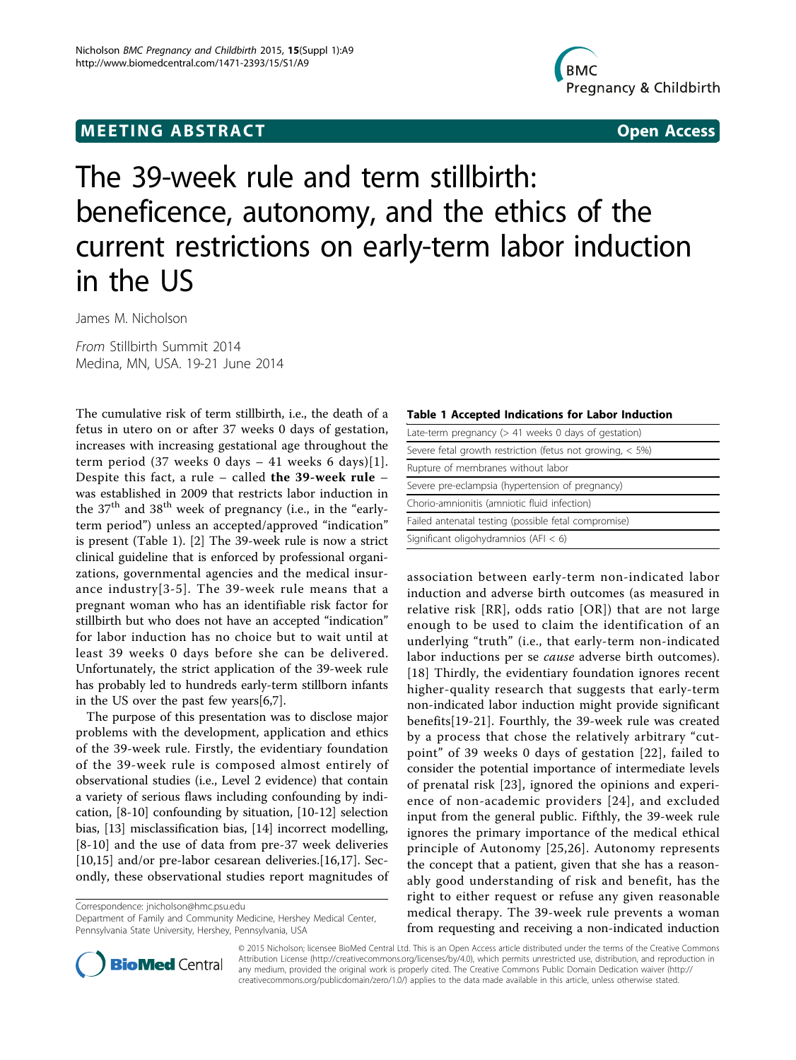## **MEETING ABSTRACT ACCESS**



# The 39-week rule and term stillbirth: beneficence, autonomy, and the ethics of the current restrictions on early-term labor induction in the US

James M. Nicholson

From Stillbirth Summit 2014 Medina, MN, USA. 19-21 June 2014

The cumulative risk of term stillbirth, i.e., the death of a fetus in utero on or after 37 weeks 0 days of gestation, increases with increasing gestational age throughout the term period (37 weeks 0 days  $-$  41 weeks 6 days)[[1\]](#page-1-0). Despite this fact, a rule – called the 39-week rule – was established in 2009 that restricts labor induction in the  $37<sup>th</sup>$  and  $38<sup>th</sup>$  week of pregnancy (i.e., in the "earlyterm period") unless an accepted/approved "indication" is present (Table 1). [\[2](#page-1-0)] The 39-week rule is now a strict clinical guideline that is enforced by professional organizations, governmental agencies and the medical insurance industry[[3-5\]](#page-1-0). The 39-week rule means that a pregnant woman who has an identifiable risk factor for stillbirth but who does not have an accepted "indication" for labor induction has no choice but to wait until at least 39 weeks 0 days before she can be delivered. Unfortunately, the strict application of the 39-week rule has probably led to hundreds early-term stillborn infants in the US over the past few years[[6,7\]](#page-1-0).

The purpose of this presentation was to disclose major problems with the development, application and ethics of the 39-week rule. Firstly, the evidentiary foundation of the 39-week rule is composed almost entirely of observational studies (i.e., Level 2 evidence) that contain a variety of serious flaws including confounding by indication, [\[8-10](#page-1-0)] confounding by situation, [[10](#page-1-0)-[12\]](#page-1-0) selection bias, [\[13\]](#page-1-0) misclassification bias, [[14](#page-1-0)] incorrect modelling, [[8](#page-1-0)-[10\]](#page-1-0) and the use of data from pre-37 week deliveries [[10,15\]](#page-1-0) and/or pre-labor cesarean deliveries.[[16](#page-1-0),[17](#page-1-0)]. Secondly, these observational studies report magnitudes of

Correspondence: [jnicholson@hmc.psu.edu](mailto:jnicholson@hmc.psu.edu)

Department of Family and Community Medicine, Hershey Medical Center, Pennsylvania State University, Hershey, Pennsylvania, USA



| Late-term pregnancy ( $> 41$ weeks 0 days of gestation)     |
|-------------------------------------------------------------|
| Severe fetal growth restriction (fetus not growing, $<$ 5%) |
| Rupture of membranes without labor                          |
| Severe pre-eclampsia (hypertension of pregnancy)            |
| Chorio-amnionitis (amniotic fluid infection)                |
| Failed antenatal testing (possible fetal compromise)        |
| Significant oligohydramnios (AFI $<$ 6)                     |

association between early-term non-indicated labor induction and adverse birth outcomes (as measured in relative risk [RR], odds ratio [OR]) that are not large enough to be used to claim the identification of an underlying "truth" (i.e., that early-term non-indicated labor inductions per se cause adverse birth outcomes). [[18](#page-1-0)] Thirdly, the evidentiary foundation ignores recent higher-quality research that suggests that early-term non-indicated labor induction might provide significant benefits[[19-21](#page-1-0)]. Fourthly, the 39-week rule was created by a process that chose the relatively arbitrary "cutpoint" of 39 weeks 0 days of gestation [[22\]](#page-1-0), failed to consider the potential importance of intermediate levels of prenatal risk [\[23\]](#page-1-0), ignored the opinions and experience of non-academic providers [[24\]](#page-1-0), and excluded input from the general public. Fifthly, the 39-week rule ignores the primary importance of the medical ethical principle of Autonomy [[25](#page-1-0),[26](#page-1-0)]. Autonomy represents the concept that a patient, given that she has a reasonably good understanding of risk and benefit, has the right to either request or refuse any given reasonable medical therapy. The 39-week rule prevents a woman from requesting and receiving a non-indicated induction



© 2015 Nicholson; licensee BioMed Central Ltd. This is an Open Access article distributed under the terms of the Creative Commons Attribution License [\(http://creativecommons.org/licenses/by/4.0](http://creativecommons.org/licenses/by/4.0)), which permits unrestricted use, distribution, and reproduction in any medium, provided the original work is properly cited. The Creative Commons Public Domain Dedication waiver [\(http://](http://creativecommons.org/publicdomain/zero/1.0/) [creativecommons.org/publicdomain/zero/1.0/](http://creativecommons.org/publicdomain/zero/1.0/)) applies to the data made available in this article, unless otherwise stated.